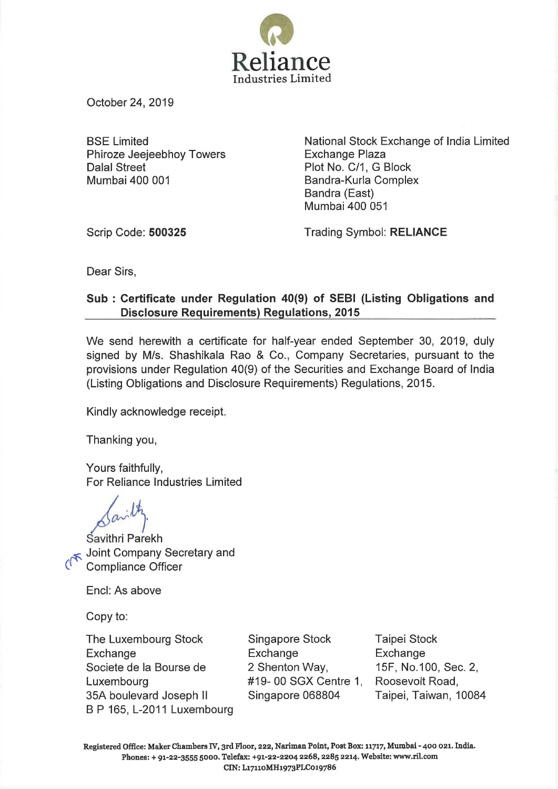

October 24, 2019

BSE Limited Phiroze Jeejeebhoy Towers Dalal Street Mumbai 400 001

National Stock Exchange of India Limited Exchange Plaza Plot No. C/1, G Block Bandra-Kurla Complex Bandra (East) Mumbai 400 051

Scrip Code: **500325** 

Trading Symbol: **RELIANCE** 

Dear Sirs,

## **Sub : Certificate under Regulation 40(9) of SEBI (Listing Obligations and Disclosure Requirements) Regulations, 2015**

We send herewith a certificate for half-year ended September 30, 2019, duly signed by M/s. Shashikala Rao & Co., Company Secretaries, pursuant to the provisions under Regulation 40(9) of the Securities and Exchange Board of India (Listing Obligations and Disclosure Requirements) Regulations, 2015.

Kindly acknowledge receipt.

Thanking you,

Yours faithfully, For Reliance Industries Limited

 $\beta^{\alpha~}$ 

Savithri Parekh Joint Company Secretary and **Compliance Officer** 

Encl: As above

Copy to:

The Luxembourg Stock Exchange Societe de Ia Bourse de **Luxembourg** 35A boulevard Joseph II B P 165, L-2011 Luxembourg

Singapore Stock Exchange 2 Shenton Way, #19- 00 SGX Centre 1, Singapore 068804

Taipei Stock Exchange 15F, No.1 00, Sec. 2, Roosevelt Road, Taipei, Taiwan, 10084